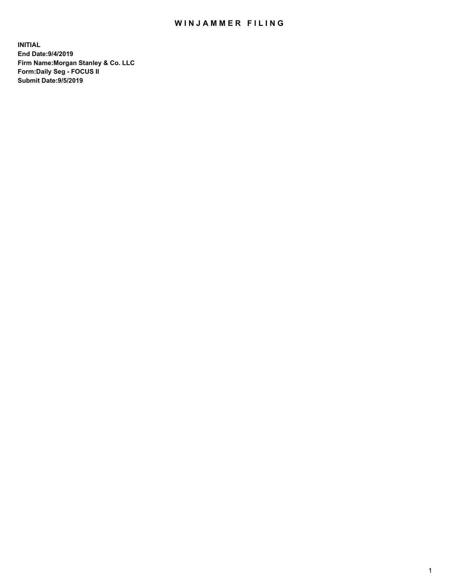## WIN JAMMER FILING

**INITIAL End Date:9/4/2019 Firm Name:Morgan Stanley & Co. LLC Form:Daily Seg - FOCUS II Submit Date:9/5/2019**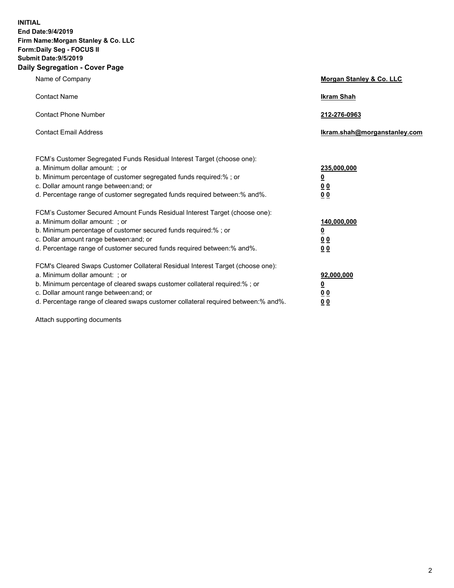**INITIAL End Date:9/4/2019 Firm Name:Morgan Stanley & Co. LLC Form:Daily Seg - FOCUS II Submit Date:9/5/2019 Daily Segregation - Cover Page**

| Name of Company                                                                                                                                                                                                                                                                                                                | Morgan Stanley & Co. LLC                                    |
|--------------------------------------------------------------------------------------------------------------------------------------------------------------------------------------------------------------------------------------------------------------------------------------------------------------------------------|-------------------------------------------------------------|
| <b>Contact Name</b>                                                                                                                                                                                                                                                                                                            | <b>Ikram Shah</b>                                           |
| <b>Contact Phone Number</b>                                                                                                                                                                                                                                                                                                    | 212-276-0963                                                |
| <b>Contact Email Address</b>                                                                                                                                                                                                                                                                                                   | Ikram.shah@morganstanley.com                                |
| FCM's Customer Segregated Funds Residual Interest Target (choose one):<br>a. Minimum dollar amount: ; or<br>b. Minimum percentage of customer segregated funds required:% ; or<br>c. Dollar amount range between: and; or<br>d. Percentage range of customer segregated funds required between:% and%.                         | 235,000,000<br><u>0</u><br>00<br>00                         |
| FCM's Customer Secured Amount Funds Residual Interest Target (choose one):<br>a. Minimum dollar amount: ; or<br>b. Minimum percentage of customer secured funds required:%; or<br>c. Dollar amount range between: and; or<br>d. Percentage range of customer secured funds required between: % and %.                          | 140,000,000<br><u>0</u><br>0 <sub>0</sub><br>0 <sub>0</sub> |
| FCM's Cleared Swaps Customer Collateral Residual Interest Target (choose one):<br>a. Minimum dollar amount: ; or<br>b. Minimum percentage of cleared swaps customer collateral required:% ; or<br>c. Dollar amount range between: and; or<br>d. Percentage range of cleared swaps customer collateral required between:% and%. | 92,000,000<br><u>0</u><br><u>00</u><br>00                   |

Attach supporting documents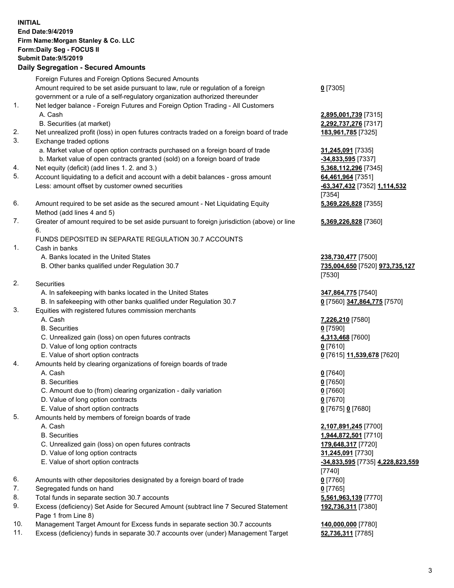|     | <b>INITIAL</b><br>End Date: 9/4/2019<br>Firm Name: Morgan Stanley & Co. LLC<br>Form: Daily Seg - FOCUS II<br><b>Submit Date: 9/5/2019</b><br><b>Daily Segregation - Secured Amounts</b> |                                                                |
|-----|-----------------------------------------------------------------------------------------------------------------------------------------------------------------------------------------|----------------------------------------------------------------|
|     | Foreign Futures and Foreign Options Secured Amounts                                                                                                                                     |                                                                |
|     | Amount required to be set aside pursuant to law, rule or regulation of a foreign<br>government or a rule of a self-regulatory organization authorized thereunder                        | $0$ [7305]                                                     |
| 1.  | Net ledger balance - Foreign Futures and Foreign Option Trading - All Customers                                                                                                         |                                                                |
|     | A. Cash                                                                                                                                                                                 | 2,895,001,739 [7315]                                           |
|     | B. Securities (at market)                                                                                                                                                               | 2,292,737,276 [7317]                                           |
| 2.  | Net unrealized profit (loss) in open futures contracts traded on a foreign board of trade                                                                                               | 183,961,785 [7325]                                             |
| 3.  | Exchange traded options                                                                                                                                                                 |                                                                |
|     | a. Market value of open option contracts purchased on a foreign board of trade<br>b. Market value of open contracts granted (sold) on a foreign board of trade                          | 31,245,091 [7335]<br>-34,833,595 [7337]                        |
| 4.  | Net equity (deficit) (add lines 1.2. and 3.)                                                                                                                                            | 5,368,112,296 [7345]                                           |
| 5.  | Account liquidating to a deficit and account with a debit balances - gross amount                                                                                                       | 64,461,964 [7351]                                              |
|     | Less: amount offset by customer owned securities                                                                                                                                        | -63,347,432 [7352] 1,114,532                                   |
| 6.  |                                                                                                                                                                                         | [7354]                                                         |
|     | Amount required to be set aside as the secured amount - Net Liquidating Equity<br>Method (add lines 4 and 5)                                                                            | 5,369,226,828 [7355]                                           |
| 7.  | Greater of amount required to be set aside pursuant to foreign jurisdiction (above) or line                                                                                             | 5,369,226,828 [7360]                                           |
|     | 6.                                                                                                                                                                                      |                                                                |
|     | FUNDS DEPOSITED IN SEPARATE REGULATION 30.7 ACCOUNTS                                                                                                                                    |                                                                |
| 1.  | Cash in banks<br>A. Banks located in the United States                                                                                                                                  |                                                                |
|     | B. Other banks qualified under Regulation 30.7                                                                                                                                          | 238,730,477 [7500]<br>735,004,650 [7520] 973,735,127<br>[7530] |
| 2.  | Securities                                                                                                                                                                              |                                                                |
|     | A. In safekeeping with banks located in the United States                                                                                                                               | 347,864,775 [7540]                                             |
|     | B. In safekeeping with other banks qualified under Regulation 30.7                                                                                                                      | 0 [7560] 347,864,775 [7570]                                    |
| 3.  | Equities with registered futures commission merchants                                                                                                                                   |                                                                |
|     | A. Cash                                                                                                                                                                                 | 7,226,210 [7580]                                               |
|     | <b>B.</b> Securities<br>C. Unrealized gain (loss) on open futures contracts                                                                                                             | $0$ [7590]<br>4,313,468 [7600]                                 |
|     | D. Value of long option contracts                                                                                                                                                       | $0$ [7610]                                                     |
|     | E. Value of short option contracts                                                                                                                                                      | <u>0</u> [7615] <u>11,539,678</u> [7620]                       |
| 4.  | Amounts held by clearing organizations of foreign boards of trade                                                                                                                       |                                                                |
|     | A. Cash                                                                                                                                                                                 | $0$ [7640]                                                     |
|     | <b>B.</b> Securities<br>C. Amount due to (from) clearing organization - daily variation                                                                                                 | $0$ [7650]<br>$0$ [7660]                                       |
|     | D. Value of long option contracts                                                                                                                                                       | $0$ [7670]                                                     |
|     | E. Value of short option contracts                                                                                                                                                      | 0 [7675] 0 [7680]                                              |
| 5.  | Amounts held by members of foreign boards of trade                                                                                                                                      |                                                                |
|     | A. Cash                                                                                                                                                                                 | 2,107,891,245 [7700]                                           |
|     | <b>B.</b> Securities                                                                                                                                                                    | 1,944,872,501 [7710]                                           |
|     | C. Unrealized gain (loss) on open futures contracts                                                                                                                                     | 179,648,317 [7720]                                             |
|     | D. Value of long option contracts<br>E. Value of short option contracts                                                                                                                 | 31,245,091 [7730]<br>-34,833,595 [7735] 4,228,823,559          |
|     |                                                                                                                                                                                         | $[7740]$                                                       |
| 6.  | Amounts with other depositories designated by a foreign board of trade                                                                                                                  | $0$ [7760]                                                     |
| 7.  | Segregated funds on hand                                                                                                                                                                | $0$ [7765]                                                     |
| 8.  | Total funds in separate section 30.7 accounts                                                                                                                                           | 5,561,963,139 [7770]                                           |
| 9.  | Excess (deficiency) Set Aside for Secured Amount (subtract line 7 Secured Statement<br>Page 1 from Line 8)                                                                              | 192,736,311 [7380]                                             |
| 10. | Management Target Amount for Excess funds in separate section 30.7 accounts                                                                                                             | 140,000,000 [7780]                                             |

11. Excess (deficiency) funds in separate 30.7 accounts over (under) Management Target **52,736,311** [7785]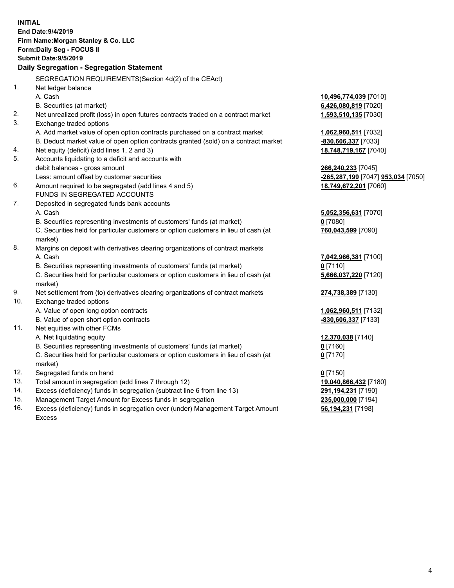|     | <b>INITIAL</b>                                                                      |                                    |
|-----|-------------------------------------------------------------------------------------|------------------------------------|
|     | End Date: 9/4/2019                                                                  |                                    |
|     | Firm Name: Morgan Stanley & Co. LLC                                                 |                                    |
|     | Form: Daily Seg - FOCUS II                                                          |                                    |
|     | <b>Submit Date: 9/5/2019</b>                                                        |                                    |
|     | Daily Segregation - Segregation Statement                                           |                                    |
|     |                                                                                     |                                    |
|     | SEGREGATION REQUIREMENTS(Section 4d(2) of the CEAct)                                |                                    |
| 1.  | Net ledger balance                                                                  |                                    |
|     | A. Cash                                                                             | 10,496,774,039 [7010]              |
|     | B. Securities (at market)                                                           | 6,426,080,819 [7020]               |
| 2.  | Net unrealized profit (loss) in open futures contracts traded on a contract market  | 1,593,510,135 [7030]               |
| 3.  | Exchange traded options                                                             |                                    |
|     | A. Add market value of open option contracts purchased on a contract market         | 1,062,960,511 [7032]               |
|     | B. Deduct market value of open option contracts granted (sold) on a contract market | -830,606,337 [7033]                |
| 4.  | Net equity (deficit) (add lines 1, 2 and 3)                                         | 18,748,719,167 [7040]              |
| 5.  | Accounts liquidating to a deficit and accounts with                                 |                                    |
|     | debit balances - gross amount                                                       | 266,240,233 [7045]                 |
|     | Less: amount offset by customer securities                                          | -265,287,199 [7047] 953,034 [7050] |
| 6.  | Amount required to be segregated (add lines 4 and 5)                                | 18,749,672,201 [7060]              |
|     | FUNDS IN SEGREGATED ACCOUNTS                                                        |                                    |
| 7.  | Deposited in segregated funds bank accounts                                         |                                    |
|     | A. Cash                                                                             | 5,052,356,631 [7070]               |
|     | B. Securities representing investments of customers' funds (at market)              | $0$ [7080]                         |
|     | C. Securities held for particular customers or option customers in lieu of cash (at | 760,043,599 [7090]                 |
|     | market)                                                                             |                                    |
| 8.  | Margins on deposit with derivatives clearing organizations of contract markets      |                                    |
|     | A. Cash                                                                             | 7,042,966,381 [7100]               |
|     | B. Securities representing investments of customers' funds (at market)              | $0$ [7110]                         |
|     | C. Securities held for particular customers or option customers in lieu of cash (at | 5,666,037,220 [7120]               |
|     | market)                                                                             |                                    |
| 9.  | Net settlement from (to) derivatives clearing organizations of contract markets     | 274,738,389 [7130]                 |
| 10. | Exchange traded options                                                             |                                    |
|     | A. Value of open long option contracts                                              | 1,062,960,511 [7132]               |
|     | B. Value of open short option contracts                                             | -830,606,337 [7133]                |
| 11. | Net equities with other FCMs                                                        |                                    |
|     | A. Net liquidating equity                                                           | 12,370,038 [7140]                  |
|     | B. Securities representing investments of customers' funds (at market)              | $0$ [7160]                         |
|     | C. Securities held for particular customers or option customers in lieu of cash (at | $0$ [7170]                         |
|     | market)                                                                             |                                    |
| 12. | Segregated funds on hand                                                            | $0$ [7150]                         |
| 13. | Total amount in segregation (add lines 7 through 12)                                | 19,040,866,432 [7180]              |
| 14. | Excess (deficiency) funds in segregation (subtract line 6 from line 13)             | 291,194,231 [7190]                 |
| 15. | Management Target Amount for Excess funds in segregation                            | 235,000,000 [7194]                 |
| 16. | Excess (deficiency) funds in segregation over (under) Management Target Amount      | 56,194,231 [7198]                  |
|     |                                                                                     |                                    |

Excess